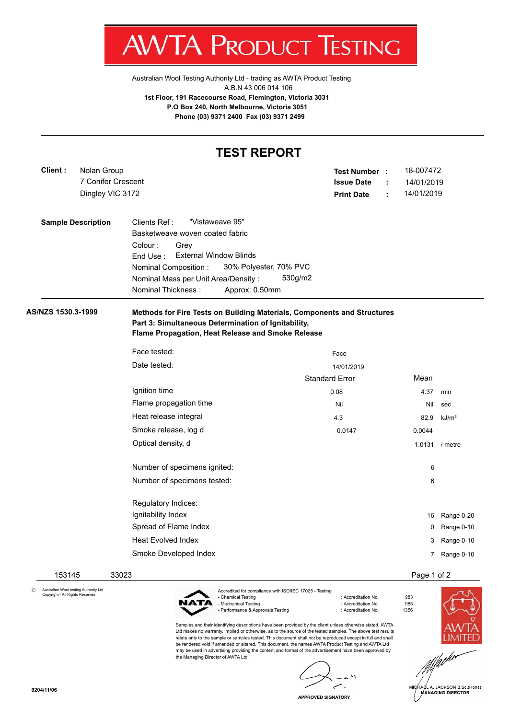

Australian Wool Testing Authority Ltd - trading as AWTA Product Testing A.B.N 43 006 014 106 **1st Floor, 191 Racecourse Road, Flemington, Victoria 3031 P.O Box 240, North Melbourne, Victoria 3051 Phone (03) 9371 2400 Fax (03) 9371 2499**

## **TEST REPORT**

| Client :           | Nolan Group<br>7 Conifer Crescent<br>Dingley VIC 3172 |                                                                                                                                                                                                                                                                     | Test Number :<br><b>Issue Date</b><br><b>Print Date</b> | 18-007472<br>14/01/2019<br>14/01/2019<br>÷ |                   |
|--------------------|-------------------------------------------------------|---------------------------------------------------------------------------------------------------------------------------------------------------------------------------------------------------------------------------------------------------------------------|---------------------------------------------------------|--------------------------------------------|-------------------|
|                    | <b>Sample Description</b>                             | "Vistaweave 95"<br>Clients Ref:<br>Basketweave woven coated fabric<br>Colour:<br>Grey<br><b>External Window Blinds</b><br>End Use:<br>30% Polyester, 70% PVC<br>Nominal Composition:<br>Nominal Mass per Unit Area/Density:<br>Nominal Thickness:<br>Approx: 0.50mm | 530g/m2                                                 |                                            |                   |
| AS/NZS 1530.3-1999 |                                                       | Methods for Fire Tests on Building Materials, Components and Structures<br>Part 3: Simultaneous Determination of Ignitability,<br>Flame Propagation, Heat Release and Smoke Release                                                                                 |                                                         |                                            |                   |
|                    |                                                       | Face tested:                                                                                                                                                                                                                                                        | Face                                                    |                                            |                   |
|                    |                                                       | Date tested:                                                                                                                                                                                                                                                        | 14/01/2019                                              |                                            |                   |
|                    |                                                       |                                                                                                                                                                                                                                                                     | <b>Standard Error</b>                                   | Mean                                       |                   |
|                    |                                                       | Ignition time                                                                                                                                                                                                                                                       | 0.08                                                    | 4.37                                       | min               |
|                    |                                                       | Flame propagation time                                                                                                                                                                                                                                              | Nil                                                     | Nil                                        | sec               |
|                    |                                                       | Heat release integral                                                                                                                                                                                                                                               | 4.3                                                     | 82.9                                       | kJ/m <sup>2</sup> |
|                    |                                                       | Smoke release, log d                                                                                                                                                                                                                                                | 0.0147                                                  | 0.0044                                     |                   |
|                    |                                                       | Optical density, d                                                                                                                                                                                                                                                  |                                                         |                                            | 1.0131 / metre    |
|                    |                                                       | Number of specimens ignited:                                                                                                                                                                                                                                        |                                                         | 6                                          |                   |
|                    |                                                       | Number of specimens tested:                                                                                                                                                                                                                                         |                                                         | 6                                          |                   |
|                    |                                                       | Regulatory Indices:                                                                                                                                                                                                                                                 |                                                         |                                            |                   |
|                    |                                                       | Ignitability Index                                                                                                                                                                                                                                                  |                                                         | 16                                         | Range 0-20        |
|                    |                                                       | Spread of Flame Index                                                                                                                                                                                                                                               |                                                         | 0                                          | Range 0-10        |
|                    |                                                       | <b>Heat Evolved Index</b>                                                                                                                                                                                                                                           |                                                         | 3                                          | Range 0-10        |
|                    |                                                       | Smoke Developed Index                                                                                                                                                                                                                                               |                                                         |                                            | 7 Range 0-10      |
| 153145             |                                                       | 33023                                                                                                                                                                                                                                                               |                                                         | Page 1 of 2                                |                   |

© Australian Wool testing Authority Ltd Copyright - All Rights Reserved



Accredited for compliance with ISO/IEC 17025 - Testing - Chemical Testing : Accreditation No. 983 - Mechanical Testing - Performance & Approvals Testing in the state of the contract of Accreditation No. 61356

Samples and their identifying descriptions have been provided by the client unless otherwise stated. AWTA Ltd makes no warranty, implied or otherwise, as to the source of the tested samples. The above test results relate only to the sample or samples tested. This document shall not be reproduced except in full and shall be rendered void if amended or altered. This document, the names AWTA Product Testing and AWTA Ltd may be used in advertising providing the content and format of the advertisement have been approved by the Managing Director of AWTA Ltd.

fach<sup>er</sup>

HARL A. JACKSON B.Sc.(Hons)<br>MANAGING DIRECTOR

**APPROVED SIGNATORY**

 $\overline{\phantom{a}}$ 

 $\sim$   $\sim$